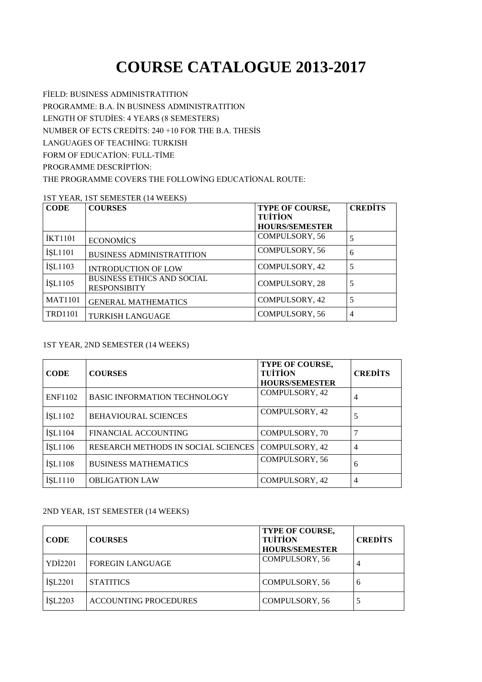# **COURSE CATALOGUE 2013-2017**

FİELD: BUSINESS ADMINISTRATITION PROGRAMME: B.A. İN BUSINESS ADMINISTRATITION LENGTH OF STUDİES: 4 YEARS (8 SEMESTERS) NUMBER OF ECTS CREDİTS: 240 +10 FOR THE B.A. THESİS LANGUAGES OF TEACHİNG: TURKISH FORM OF EDUCATİON: FULL-TİME PROGRAMME DESCRİPTİON: THE PROGRAMME COVERS THE FOLLOWİNG EDUCATİONAL ROUTE:

#### 1ST YEAR, 1ST SEMESTER (14 WEEKS)

| <b>CODE</b>    | <b>COURSES</b>                                           | TYPE OF COURSE,       | <b>CREDITS</b> |
|----------------|----------------------------------------------------------|-----------------------|----------------|
|                |                                                          | <b>TUITION</b>        |                |
|                |                                                          | <b>HOURS/SEMESTER</b> |                |
| <b>IKT1101</b> | <b>ECONOMICS</b>                                         | COMPULSORY, 56        |                |
| <b>İŞL1101</b> | <b>BUSINESS ADMINISTRATITION</b>                         | COMPULSORY, 56        | 6              |
| <b>İSL1103</b> | <b>INTRODUCTION OF LOW</b>                               | COMPULSORY, 42        |                |
| <b>İSL1105</b> | <b>BUSINESS ETHICS AND SOCIAL</b><br><b>RESPONSIBITY</b> | COMPULSORY, 28        |                |
| <b>MAT1101</b> | <b>GENERAL MATHEMATICS</b>                               | COMPULSORY, 42        |                |
| <b>TRD1101</b> | <b>TURKISH LANGUAGE</b>                                  | COMPULSORY, 56        | $\overline{4}$ |

## 1ST YEAR, 2ND SEMESTER (14 WEEKS)

| <b>CODE</b>    | <b>COURSES</b>                      | <b>TYPE OF COURSE,</b><br><b>TUITION</b><br><b>HOURS/SEMESTER</b> | <b>CREDITS</b> |
|----------------|-------------------------------------|-------------------------------------------------------------------|----------------|
| <b>ENF1102</b> | <b>BASIC INFORMATION TECHNOLOGY</b> | COMPULSORY, 42                                                    | $\overline{4}$ |
| <b>İŞL1102</b> | <b>BEHAVIOURAL SCIENCES</b>         | COMPULSORY, 42                                                    | 5              |
| <b>İSL1104</b> | FINANCIAL ACCOUNTING                | <b>COMPULSORY, 70</b>                                             |                |
| <b>ISL1106</b> | RESEARCH METHODS IN SOCIAL SCIENCES | COMPULSORY, 42                                                    | $\overline{4}$ |
| <b>İSL1108</b> | <b>BUSINESS MATHEMATICS</b>         | <b>COMPULSORY, 56</b>                                             | 6              |
| ISL1110        | <b>OBLIGATION LAW</b>               | COMPULSORY, 42                                                    | $\overline{4}$ |

### 2ND YEAR, 1ST SEMESTER (14 WEEKS)

| <b>CODE</b>    | <b>COURSES</b>               | <b>TYPE OF COURSE,</b><br><b>TUITION</b><br><b>HOURS/SEMESTER</b> | <b>CREDITS</b> |
|----------------|------------------------------|-------------------------------------------------------------------|----------------|
| YDI2201        | <b>FOREGIN LANGUAGE</b>      | COMPULSORY, 56                                                    | 4              |
| <b>İSL2201</b> | <b>STATITICS</b>             | COMPULSORY, 56                                                    | 6              |
| <b>ISL2203</b> | <b>ACCOUNTING PROCEDURES</b> | <b>COMPULSORY, 56</b>                                             |                |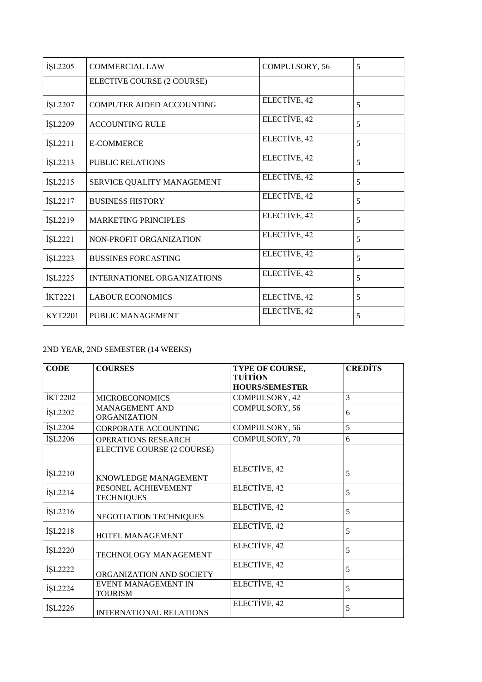| <b>İSL2205</b> | <b>COMMERCIAL LAW</b>       | COMPULSORY, 56 | 5 |
|----------------|-----------------------------|----------------|---|
|                | ELECTIVE COURSE (2 COURSE)  |                |   |
| İŞL2207        | COMPUTER AIDED ACCOUNTING   | ELECTIVE, 42   | 5 |
| İŞL2209        | <b>ACCOUNTING RULE</b>      | ELECTIVE, 42   | 5 |
| İŞL2211        | <b>E-COMMERCE</b>           | ELECTIVE, 42   | 5 |
| <b>İSL2213</b> | <b>PUBLIC RELATIONS</b>     | ELECTIVE, 42   | 5 |
| <b>İŞL2215</b> | SERVICE QUALITY MANAGEMENT  | ELECTIVE, 42   | 5 |
| İŞL2217        | <b>BUSINESS HISTORY</b>     | ELECTIVE, 42   | 5 |
| İŞL2219        | <b>MARKETING PRINCIPLES</b> | ELECTIVE, 42   | 5 |
| İŞL2221        | NON-PROFIT ORGANIZATION     | ELECTIVE, 42   | 5 |
| <b>İSL2223</b> | <b>BUSSINES FORCASTING</b>  | ELECTIVE, 42   | 5 |
| <b>İSL2225</b> | INTERNATIONEL ORGANIZATIONS | ELECTIVE, 42   | 5 |
| <b>İKT2221</b> | <b>LABOUR ECONOMICS</b>     | ELECTIVE, 42   | 5 |
| KYT2201        | PUBLIC MANAGEMENT           | ELECTIVE, 42   | 5 |

## 2ND YEAR, 2ND SEMESTER (14 WEEKS)

| <b>CODE</b>    | <b>COURSES</b>                               | TYPE OF COURSE,<br><b>TUITION</b> | <b>CREDITS</b> |
|----------------|----------------------------------------------|-----------------------------------|----------------|
|                |                                              | <b>HOURS/SEMESTER</b>             |                |
| <b>İKT2202</b> | <b>MICROECONOMICS</b>                        | COMPULSORY, 42                    | 3              |
| İŞL2202        | <b>MANAGEMENT AND</b><br><b>ORGANIZATION</b> | COMPULSORY, 56                    | 6              |
| İŞL2204        | CORPORATE ACCOUNTING                         | COMPULSORY, 56                    | 5              |
| İŞL2206        | <b>OPERATIONS RESEARCH</b>                   | COMPULSORY, 70                    | 6              |
|                | ELECTIVE COURSE (2 COURSE)                   |                                   |                |
| İŞL2210        | KNOWLEDGE MANAGEMENT                         | ELECTIVE, 42                      | 5              |
| İŞL2214        | PESONEL ACHIEVEMENT<br><b>TECHNIQUES</b>     | ELECTIVE, 42                      | 5              |
| İŞL2216        | NEGOTIATION TECHNIQUES                       | ELECTIVE, 42                      | 5              |
| İŞL2218        | HOTEL MANAGEMENT                             | ELECTIVE, 42                      | 5              |
| İŞL2220        | TECHNOLOGY MANAGEMENT                        | ELECTIVE, 42                      | 5              |
| <b>İSL2222</b> | ORGANIZATION AND SOCIETY                     | ELECTIVE, 42                      | 5              |
| İŞL2224        | EVENT MANAGEMENT IN<br><b>TOURISM</b>        | ELECTIVE, 42                      | 5              |
| <b>İŞL2226</b> | <b>INTERNATIONAL RELATIONS</b>               | ELECTIVE, 42                      | 5              |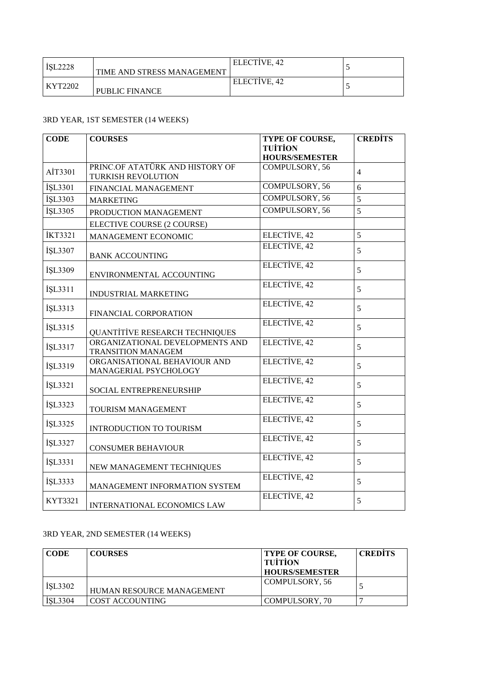| ISL2228 | TIME AND STRESS MANAGEMENT | ELECTIVE, 42 |  |
|---------|----------------------------|--------------|--|
| KYT2202 | <b>PUBLIC FINANCE</b>      | ELECTIVE, 42 |  |

## 3RD YEAR, 1ST SEMESTER (14 WEEKS)

| <b>CODE</b>    | <b>COURSES</b>                                               | TYPE OF COURSE,       | <b>CREDITS</b> |
|----------------|--------------------------------------------------------------|-----------------------|----------------|
|                |                                                              | <b>TUİTİON</b>        |                |
|                |                                                              | <b>HOURS/SEMESTER</b> |                |
| AİT3301        | PRINC.OF ATATÜRK AND HISTORY OF<br><b>TURKISH REVOLUTION</b> | COMPULSORY, 56        | $\overline{4}$ |
| İŞL3301        | FINANCIAL MANAGEMENT                                         | <b>COMPULSORY, 56</b> | 6              |
| İŞL3303        | <b>MARKETING</b>                                             | COMPULSORY, 56        | 5              |
| İŞL3305        | PRODUCTION MANAGEMENT                                        | <b>COMPULSORY, 56</b> | 5              |
|                | ELECTIVE COURSE (2 COURSE)                                   |                       |                |
| <b>İKT3321</b> | MANAGEMENT ECONOMIC                                          | ELECTIVE, 42          | 5              |
| İŞL3307        | <b>BANK ACCOUNTING</b>                                       | ELECTİVE, 42          | 5              |
| İŞL3309        | ENVIRONMENTAL ACCOUNTING                                     | ELECTIVE, 42          | 5              |
| İŞL3311        | INDUSTRIAL MARKETING                                         | ELECTIVE, 42          | 5              |
| İŞL3313        | FINANCIAL CORPORATION                                        | ELECTIVE, 42          | 5              |
| İŞL3315        | QUANTITIVE RESEARCH TECHNIQUES                               | ELECTIVE, 42          | 5              |
| İŞL3317        | ORGANIZATIONAL DEVELOPMENTS AND<br><b>TRANSITION MANAGEM</b> | ELECTIVE, 42          | 5              |
| İŞL3319        | ORGANISATIONAL BEHAVIOUR AND<br>MANAGERIAL PSYCHOLOGY        | ELECTIVE, 42          | 5              |
| İŞL3321        | SOCIAL ENTREPRENEURSHIP                                      | ELECTIVE, 42          | 5              |
| İŞL3323        | TOURISM MANAGEMENT                                           | ELECTIVE, 42          | 5              |
| İŞL3325        | INTRODUCTION TO TOURISM                                      | ELECTIVE, 42          | 5              |
| İŞL3327        | <b>CONSUMER BEHAVIOUR</b>                                    | ELECTİVE, 42          | 5              |
| İŞL3331        | NEW MANAGEMENT TECHNIQUES                                    | ELECTIVE, 42          | 5              |
| İŞL3333        | MANAGEMENT INFORMATION SYSTEM                                | ELECTIVE, 42          | 5              |
| KYT3321        | INTERNATIONAL ECONOMICS LAW                                  | ELECTIVE, 42          | 5              |

## 3RD YEAR, 2ND SEMESTER (14 WEEKS)

| <b>CODE</b>    | <b>COURSES</b>            | <b>TYPE OF COURSE,</b><br>  TUÍTÍON<br><b>HOURS/SEMESTER</b> | <b>CREDITS</b> |
|----------------|---------------------------|--------------------------------------------------------------|----------------|
| <b>ISL3302</b> | HUMAN RESOURCE MANAGEMENT | COMPULSORY, 56                                               |                |
| <b>İSL3304</b> | COST ACCOUNTING           | COMPULSORY, 70                                               |                |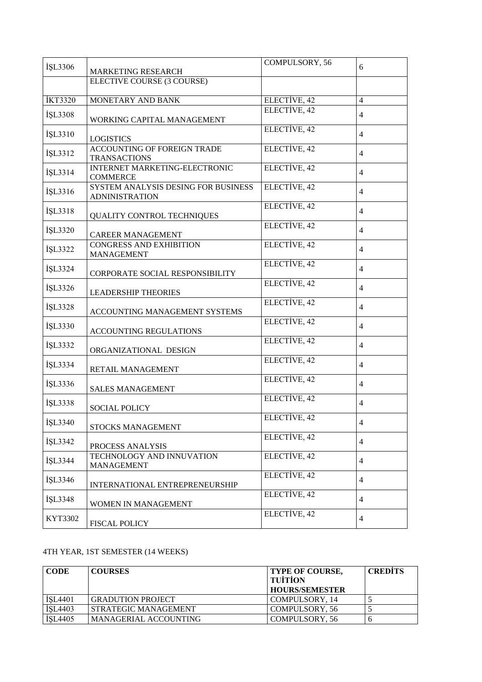|                |                                     | COMPULSORY, 56 |                          |
|----------------|-------------------------------------|----------------|--------------------------|
| İŞL3306        | <b>MARKETING RESEARCH</b>           |                | 6                        |
|                | ELECTIVE COURSE (3 COURSE)          |                |                          |
|                |                                     |                |                          |
| <b>İKT3320</b> | MONETARY AND BANK                   | ELECTİVE, 42   | $\overline{4}$           |
|                |                                     | ELECTIVE, 42   |                          |
| İŞL3308        | WORKING CAPITAL MANAGEMENT          |                | 4                        |
|                |                                     | ELECTIVE, 42   |                          |
| İŞL3310        | <b>LOGISTICS</b>                    |                | 4                        |
|                | ACCOUNTING OF FOREIGN TRADE         | ELECTIVE, 42   |                          |
| İŞL3312        | <b>TRANSACTIONS</b>                 |                | 4                        |
|                | INTERNET MARKETING-ELECTRONIC       | ELECTIVE, 42   |                          |
| İŞL3314        | <b>COMMERCE</b>                     |                | $\overline{4}$           |
|                | SYSTEM ANALYSIS DESING FOR BUSINESS | ELECTIVE, 42   |                          |
| İŞL3316        |                                     |                | $\overline{4}$           |
|                | <b>ADNINISTRATION</b>               |                |                          |
| İŞL3318        |                                     | ELECTIVE, 42   | $\overline{4}$           |
|                | QUALITY CONTROL TECHNIQUES          |                |                          |
| İŞL3320        |                                     | ELECTIVE, 42   | $\overline{4}$           |
|                | <b>CAREER MANAGEMENT</b>            |                |                          |
| İŞL3322        | <b>CONGRESS AND EXHIBITION</b>      | ELECTIVE, 42   | $\overline{4}$           |
|                | <b>MANAGEMENT</b>                   |                |                          |
| İŞL3324        |                                     | ELECTIVE, 42   | $\overline{4}$           |
|                | CORPORATE SOCIAL RESPONSIBILITY     |                |                          |
| İŞL3326        |                                     | ELECTIVE, 42   | $\overline{4}$           |
|                | <b>LEADERSHIP THEORIES</b>          |                |                          |
| İŞL3328        |                                     | ELECTIVE, 42   | $\overline{4}$           |
|                | ACCOUNTING MANAGEMENT SYSTEMS       |                |                          |
|                |                                     | ELECTİVE, 42   | $\overline{4}$           |
| İŞL3330        | ACCOUNTING REGULATIONS              |                |                          |
|                |                                     | ELECTİVE, 42   |                          |
| İŞL3332        | ORGANIZATIONAL DESIGN               |                | 4                        |
|                |                                     | ELECTIVE, 42   |                          |
| İŞL3334        | RETAIL MANAGEMENT                   |                | 4                        |
|                |                                     | ELECTIVE, 42   |                          |
| İŞL3336        | <b>SALES MANAGEMENT</b>             |                | $\overline{\mathcal{L}}$ |
|                |                                     | ELECTIVE, 42   |                          |
| İŞL3338        | <b>SOCIAL POLICY</b>                |                | 4                        |
|                |                                     | ELECTIVE, 42   |                          |
| İŞL3340        | STOCKS MANAGEMENT                   |                | 4                        |
|                |                                     | ELECTIVE, 42   |                          |
| İŞL3342        | PROCESS ANALYSIS                    |                | 4                        |
|                | TECHNOLOGY AND INNUVATION           | ELECTIVE, 42   |                          |
| İŞL3344        | <b>MANAGEMENT</b>                   |                | 4                        |
|                |                                     | ELECTİVE, 42   |                          |
| İŞL3346        |                                     |                | 4                        |
|                | INTERNATIONAL ENTREPRENEURSHIP      |                |                          |
| İŞL3348        |                                     | ELECTIVE, 42   | 4                        |
|                | WOMEN IN MANAGEMENT                 |                |                          |
| KYT3302        |                                     | ELECTIVE, 42   | $\overline{4}$           |
|                | <b>FISCAL POLICY</b>                |                |                          |

## 4TH YEAR, 1ST SEMESTER (14 WEEKS)

| <b>CODE</b>    | <b>COURSES</b>           | <b>TYPE OF COURSE,</b><br><b>TUITION</b><br><b>HOURS/SEMESTER</b> | <b>CREDITS</b> |
|----------------|--------------------------|-------------------------------------------------------------------|----------------|
| <b>İSL4401</b> | <b>GRADUTION PROJECT</b> | COMPULSORY, 14                                                    |                |
| <b>ISL4403</b> | STRATEGIC MANAGEMENT     | COMPULSORY, 56                                                    |                |
| <b>ISL4405</b> | MANAGERIAL ACCOUNTING    | COMPULSORY, 56                                                    |                |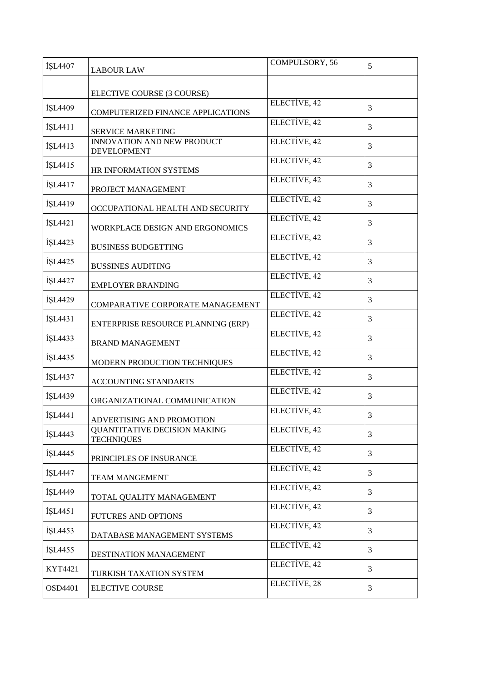| İŞL4407 |                                                   | COMPULSORY, 56 | 5              |
|---------|---------------------------------------------------|----------------|----------------|
|         | <b>LABOUR LAW</b>                                 |                |                |
|         | ELECTIVE COURSE (3 COURSE)                        |                |                |
|         |                                                   | ELECTIVE, 42   |                |
| İSL4409 | COMPUTERIZED FINANCE APPLICATIONS                 |                | 3              |
| İŞL4411 | SERVICE MARKETING                                 | ELECTIVE, 42   | 3              |
|         | <b>INNOVATION AND NEW PRODUCT</b>                 | ELECTIVE, 42   |                |
| İŞL4413 | <b>DEVELOPMENT</b>                                |                | 3              |
| İŞL4415 | HR INFORMATION SYSTEMS                            | ELECTIVE, 42   | 3              |
| İŞL4417 | PROJECT MANAGEMENT                                | ELECTIVE, 42   | 3              |
| İŞL4419 | OCCUPATIONAL HEALTH AND SECURITY                  | ELECTIVE, 42   | 3              |
|         |                                                   | ELECTIVE, 42   |                |
| İŞL4421 | WORKPLACE DESIGN AND ERGONOMICS                   |                | 3              |
| İŞL4423 | <b>BUSINESS BUDGETTING</b>                        | ELECTIVE, 42   | 3              |
|         |                                                   | ELECTIVE, 42   |                |
| İŞL4425 | <b>BUSSINES AUDITING</b>                          |                | 3              |
| İŞL4427 | <b>EMPLOYER BRANDING</b>                          | ELECTIVE, 42   | 3              |
| İŞL4429 |                                                   | ELECTIVE, 42   | 3              |
|         | COMPARATIVE CORPORATE MANAGEMENT                  | ELECTIVE, 42   |                |
| İŞL4431 | ENTERPRISE RESOURCE PLANNING (ERP)                |                | 3              |
| İŞL4433 | <b>BRAND MANAGEMENT</b>                           | ELECTIVE, 42   | 3              |
| İŞL4435 |                                                   | ELECTIVE, 42   | 3              |
|         | MODERN PRODUCTION TECHNIQUES                      | ELECTIVE, 42   |                |
| İŞL4437 | ACCOUNTING STANDARTS                              |                | 3              |
| İŞL4439 | ORGANIZATIONAL COMMUNICATION                      | ELECTIVE, 42   | 3              |
| İŞL4441 |                                                   | ELECTIVE, 42   | $\mathfrak{Z}$ |
|         | ADVERTISING AND PROMOTION                         |                |                |
| İŞL4443 | QUANTITATIVE DECISION MAKING<br><b>TECHNIQUES</b> | ELECTIVE, 42   | 3              |
| İŞL4445 | PRINCIPLES OF INSURANCE                           | ELECTIVE, 42   | 3              |
| İŞL4447 |                                                   | ELECTIVE, 42   | 3              |
|         | <b>TEAM MANGEMENT</b>                             |                |                |
| İŞL4449 | TOTAL QUALITY MANAGEMENT                          | ELECTIVE, 42   | 3              |
| İŞL4451 | FUTURES AND OPTIONS                               | ELECTIVE, 42   | 3              |
| İŞL4453 | DATABASE MANAGEMENT SYSTEMS                       | ELECTIVE, 42   | 3              |
|         |                                                   | ELECTIVE, 42   |                |
| İŞL4455 | DESTINATION MANAGEMENT                            |                | 3              |
| KYT4421 | TURKISH TAXATION SYSTEM                           | ELECTIVE, 42   | 3              |
| OSD4401 | <b>ELECTIVE COURSE</b>                            | ELECTIVE, 28   | 3              |
|         |                                                   |                |                |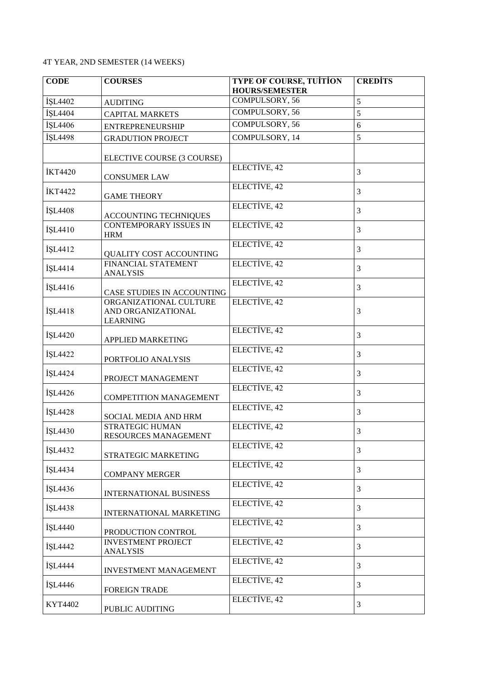## 4T YEAR, 2ND SEMESTER (14 WEEKS)

| <b>CODE</b>    | <b>COURSES</b>                                                  | <b>TYPE OF COURSE, TUITION</b><br><b>HOURS/SEMESTER</b> | <b>CREDITS</b> |
|----------------|-----------------------------------------------------------------|---------------------------------------------------------|----------------|
| İŞL4402        | <b>AUDITING</b>                                                 | COMPULSORY, 56                                          | 5              |
| İŞL4404        | <b>CAPITAL MARKETS</b>                                          | COMPULSORY, 56                                          | 5              |
| İŞL4406        | <b>ENTREPRENEURSHIP</b>                                         | <b>COMPULSORY, 56</b>                                   | 6              |
| İŞL4498        | <b>GRADUTION PROJECT</b>                                        | COMPULSORY, 14                                          | 5              |
|                | ELECTIVE COURSE (3 COURSE)                                      |                                                         |                |
| <b>İKT4420</b> | <b>CONSUMER LAW</b>                                             | ELECTIVE, 42                                            | 3              |
| <b>İKT4422</b> | <b>GAME THEORY</b>                                              | ELECTIVE, 42                                            | 3              |
| İŞL4408        | ACCOUNTING TECHNIQUES                                           | ELECTIVE, 42                                            | 3              |
| İŞL4410        | <b>CONTEMPORARY ISSUES IN</b><br><b>HRM</b>                     | ELECTIVE, 42                                            | 3              |
| İŞL4412        | QUALITY COST ACCOUNTING                                         | ELECTIVE, 42                                            | 3              |
| İŞL4414        | FINANCIAL STATEMENT<br><b>ANALYSIS</b>                          | ELECTIVE, 42                                            | $\mathfrak{Z}$ |
| İŞL4416        | CASE STUDIES IN ACCOUNTING                                      | ELECTIVE, 42                                            | 3              |
| İŞL4418        | ORGANIZATIONAL CULTURE<br>AND ORGANIZATIONAL<br><b>LEARNING</b> | ELECTIVE, 42                                            | 3              |
| İŞL4420        | APPLIED MARKETING                                               | ELECTIVE, 42                                            | $\mathfrak{Z}$ |
| İŞL4422        | PORTFOLIO ANALYSIS                                              | ELECTIVE, 42                                            | 3              |
| İŞL4424        | PROJECT MANAGEMENT                                              | ELECTIVE, 42                                            | 3              |
| İŞL4426        | <b>COMPETITION MANAGEMENT</b>                                   | ELECTIVE, 42                                            | 3              |
| İŞL4428        | SOCIAL MEDIA AND HRM                                            | ELECTIVE, 42                                            | 3              |
| İŞL4430        | <b>STRATEGIC HUMAN</b><br>RESOURCES MANAGEMENT                  | ELECTIVE, 42                                            | $\mathfrak{Z}$ |
| İŞL4432        | STRATEGIC MARKETING                                             | ELECTIVE, 42                                            | 3              |
| İŞL4434        | <b>COMPANY MERGER</b>                                           | ELECTIVE, 42                                            | 3              |
| İŞL4436        | INTERNATIONAL BUSINESS                                          | ELECTIVE, 42                                            | 3              |
| İŞL4438        | INTERNATIONAL MARKETING                                         | ELECTIVE, 42                                            | 3              |
| İŞL4440        | PRODUCTION CONTROL                                              | ELECTIVE, 42                                            | $\mathfrak{Z}$ |
| İŞL4442        | <b>INVESTMENT PROJECT</b><br><b>ANALYSIS</b>                    | ELECTIVE, 42                                            | $\mathfrak{Z}$ |
| İŞL4444        | INVESTMENT MANAGEMENT                                           | ELECTIVE, 42                                            | 3              |
| İŞL4446        | FOREIGN TRADE                                                   | ELECTIVE, 42                                            | 3              |
| KYT4402        | PUBLIC AUDITING                                                 | ELECTIVE, 42                                            | 3              |